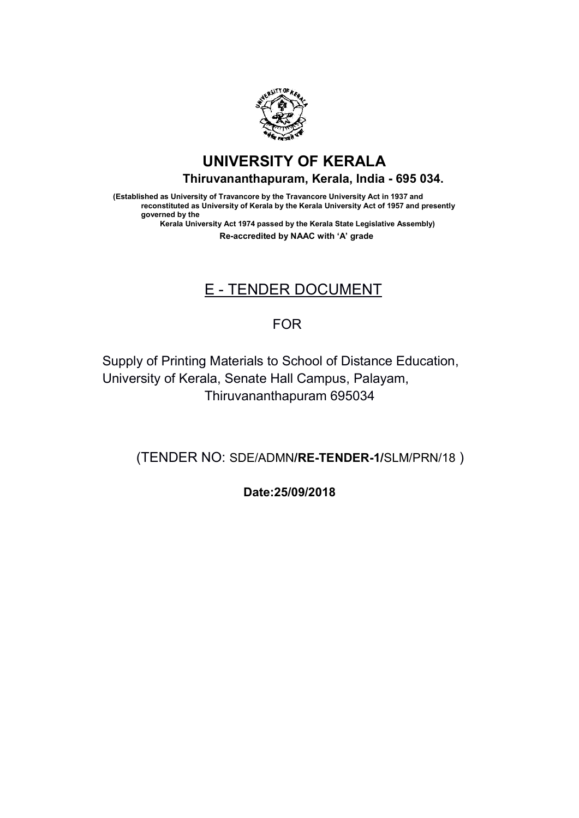

# UNIVERSITY OF KERALA Thiruvananthapuram, Kerala, India - 695 034. 695 034.

(Established as University of Travancore by the Travancore University Act in 1937 and (Established as University of Travancore by the Travancore University Act in 1937 and reconstituted as University of Kerala by the Kerala University Act of 1957 and presently governed by the *v*ersity of Travancore by the Travancore University Act in 1937 and<br>d as University of Kerala by the Kerala University Act of 1957 and pre:<br><sup>,</sup> the<br>University Act 1974 passed by the Kerala State Legislative Assembly) reconstituted as University of Kerala by the Kerala University Act of 1957 and presently

Kerala University Act 1974 passed by the Kerala State Legislative Assembly) Kerala University Act 1974 passed by the Kerala State Legislative Assembly) Re-accredited by NAAC with 'A' grade

# E - TENDER DOCUMENT

## FOR

Supply of Printing Materials to School of Distance Education, Supply of Printing Materials to School of Distance Education, University of Kerala, Senate Hall Campus, Palayam, Supply of Printing Materials to School of Distan<br>University of Kerala, Senate Hall Campus, Pala<br>Thiruvananthapuram 695034 University of Kerala, Senate Hall Campus, Palayam,

(TENDER NO: SDE/ADMN/**RE-TENDER-1/**SLM/PRN/18)

Date:25/09/2018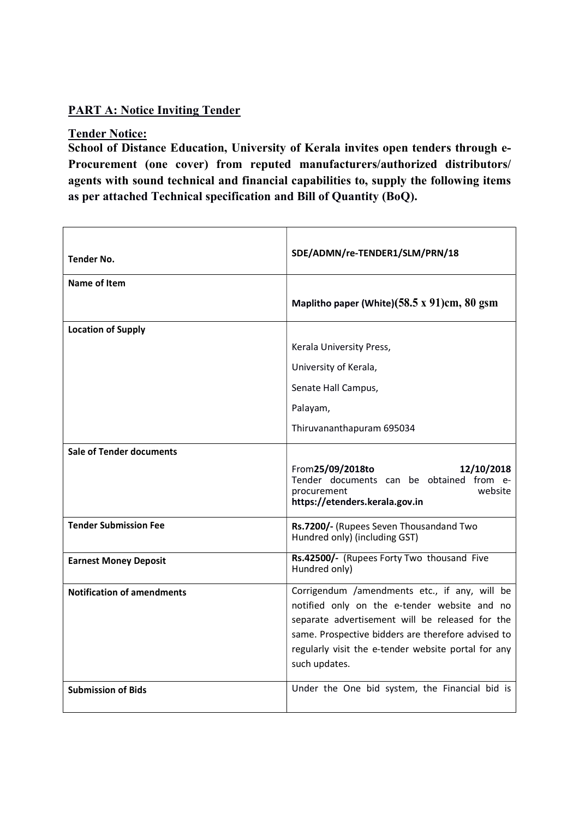### PART A: Notice Inviting Tender

#### Tender Notice:

School of Distance Education, University of Kerala invites open tenders through e-Procurement (one cover) from reputed manufacturers/authorized distributors/ agents with sound technical and financial capabilities to, supply the following items as per attached Technical specification and Bill of Quantity (BoQ).

| <b>Tender No.</b>                 | SDE/ADMN/re-TENDER1/SLM/PRN/18                                                                                                          |  |
|-----------------------------------|-----------------------------------------------------------------------------------------------------------------------------------------|--|
| Name of Item                      |                                                                                                                                         |  |
|                                   | Maplitho paper (White) $(58.5 \times 91)$ cm, 80 gsm                                                                                    |  |
| <b>Location of Supply</b>         |                                                                                                                                         |  |
|                                   | Kerala University Press,                                                                                                                |  |
|                                   | University of Kerala,                                                                                                                   |  |
|                                   | Senate Hall Campus,                                                                                                                     |  |
|                                   | Palayam,                                                                                                                                |  |
|                                   | Thiruvananthapuram 695034                                                                                                               |  |
| <b>Sale of Tender documents</b>   |                                                                                                                                         |  |
|                                   | From 25/09/2018to<br>12/10/2018<br>Tender documents can be obtained from e-<br>website<br>procurement<br>https://etenders.kerala.gov.in |  |
| <b>Tender Submission Fee</b>      | Rs.7200/- (Rupees Seven Thousandand Two<br>Hundred only) (including GST)                                                                |  |
| <b>Earnest Money Deposit</b>      | Rs.42500/- (Rupees Forty Two thousand Five<br>Hundred only)                                                                             |  |
| <b>Notification of amendments</b> | Corrigendum /amendments etc., if any, will be<br>notified only on the e-tender website and no                                           |  |
|                                   | separate advertisement will be released for the                                                                                         |  |
|                                   | same. Prospective bidders are therefore advised to                                                                                      |  |
|                                   | regularly visit the e-tender website portal for any<br>such updates.                                                                    |  |
| <b>Submission of Bids</b>         | Under the One bid system, the Financial bid is                                                                                          |  |
|                                   |                                                                                                                                         |  |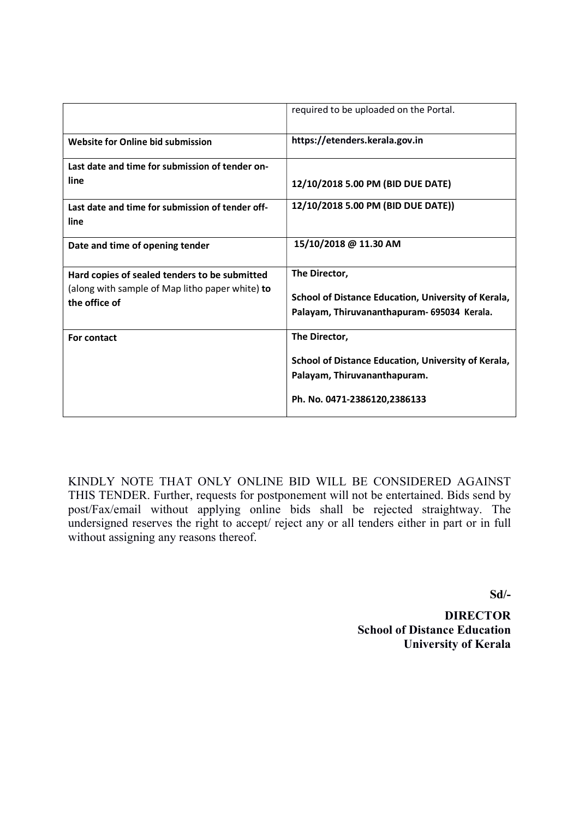|                                                                  | required to be uploaded on the Portal.              |
|------------------------------------------------------------------|-----------------------------------------------------|
| Website for Online bid submission                                | https://etenders.kerala.gov.in                      |
| Last date and time for submission of tender on-                  |                                                     |
| line                                                             | 12/10/2018 5.00 PM (BID DUE DATE)                   |
| Last date and time for submission of tender off-<br>line         | 12/10/2018 5.00 PM (BID DUE DATE))                  |
| Date and time of opening tender                                  | 15/10/2018 @ 11.30 AM                               |
| Hard copies of sealed tenders to be submitted                    | The Director,                                       |
| (along with sample of Map litho paper white) to<br>the office of | School of Distance Education, University of Kerala, |
|                                                                  | Palayam, Thiruvananthapuram- 695034 Kerala.         |
| For contact                                                      | The Director,                                       |
|                                                                  | School of Distance Education, University of Kerala, |
|                                                                  | Palayam, Thiruvananthapuram.                        |
|                                                                  | Ph. No. 0471-2386120,2386133                        |

KINDLY NOTE THAT ONLY ONLINE BID WILL BE CONSIDERED AGAINST THIS TENDER. Further, requests for postponement will not be entertained. Bids send by post/Fax/email without applying online bids shall be rejected straightway. The undersigned reserves the right to accept/ reject any or all tenders either in part or in full without assigning any reasons thereof.

Sd/-

**DIRECTOR**  School of Distance Education University of Kerala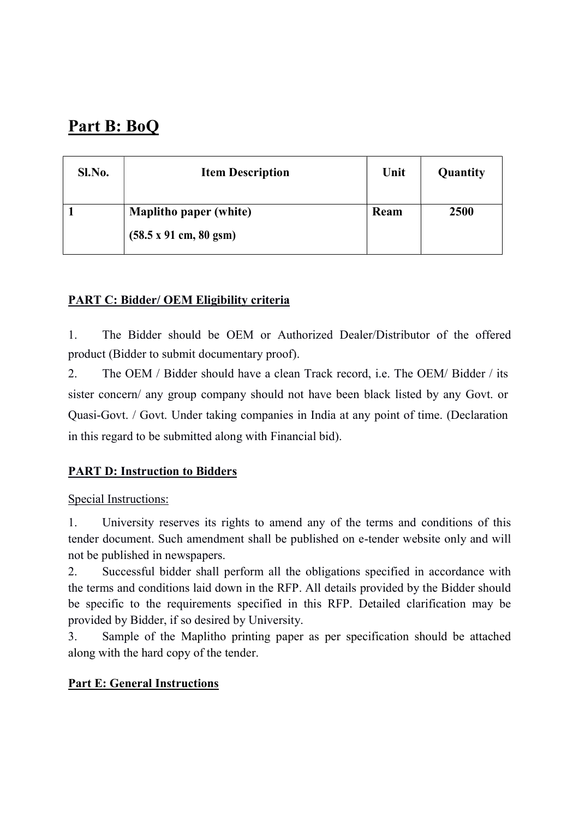# Part B: BoQ

| Sl.No. | <b>Item Description</b>                                                        | Unit | Quantity |
|--------|--------------------------------------------------------------------------------|------|----------|
|        | <b>Maplitho paper (white)</b><br>$(58.5 \times 91 \text{ cm}, 80 \text{ gsm})$ | Ream | 2500     |

### PART C: Bidder/ OEM Eligibility criteria

1. The Bidder should be OEM or Authorized Dealer/Distributor of the offered product (Bidder to submit documentary proof).

2. The OEM / Bidder should have a clean Track record, i.e. The OEM/ Bidder / its sister concern/ any group company should not have been black listed by any Govt. or Quasi-Govt. / Govt. Under taking companies in India at any point of time. (Declaration in this regard to be submitted along with Financial bid).

## PART D: Instruction to Bidders

### Special Instructions:

1. University reserves its rights to amend any of the terms and conditions of this tender document. Such amendment shall be published on e-tender website only and will not be published in newspapers.

2. Successful bidder shall perform all the obligations specified in accordance with the terms and conditions laid down in the RFP. All details provided by the Bidder should be specific to the requirements specified in this RFP. Detailed clarification may be provided by Bidder, if so desired by University.

3. Sample of the Maplitho printing paper as per specification should be attached along with the hard copy of the tender.

### Part E: General Instructions